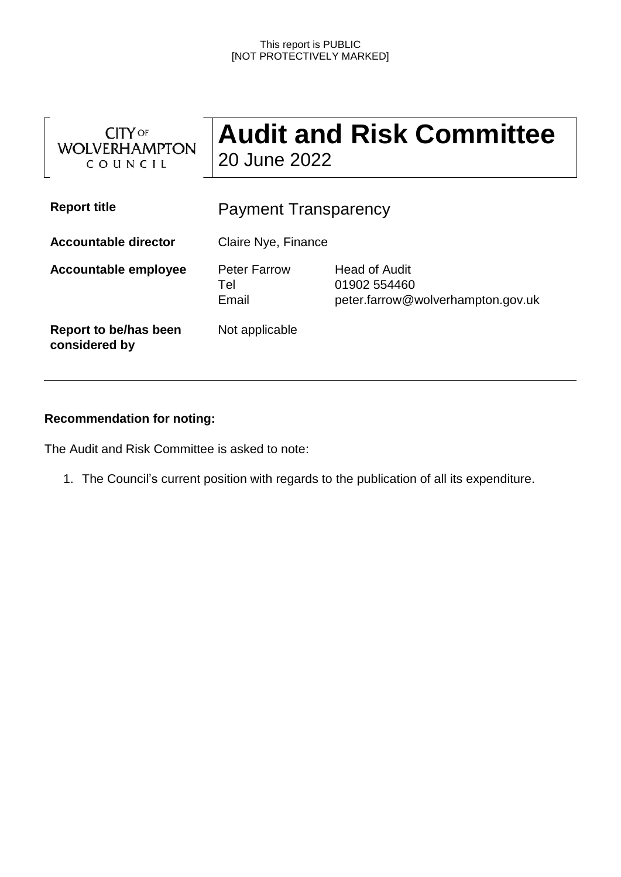#### This report is PUBLIC [NOT PROTECTIVELY MARKED]

| <b>CITY</b> OF<br><b>WOLVERHAMPTON</b><br>COUNCIL | <b>Audit and Risk Committee</b><br>20 June 2022 |                                                                    |
|---------------------------------------------------|-------------------------------------------------|--------------------------------------------------------------------|
| <b>Report title</b>                               | <b>Payment Transparency</b>                     |                                                                    |
| <b>Accountable director</b>                       | Claire Nye, Finance                             |                                                                    |
| <b>Accountable employee</b>                       | <b>Peter Farrow</b><br>Tel<br>Email             | Head of Audit<br>01902 554460<br>peter.farrow@wolverhampton.gov.uk |
| Report to be/has been<br>considered by            | Not applicable                                  |                                                                    |

# **Recommendation for noting:**

The Audit and Risk Committee is asked to note:

1. The Council's current position with regards to the publication of all its expenditure.